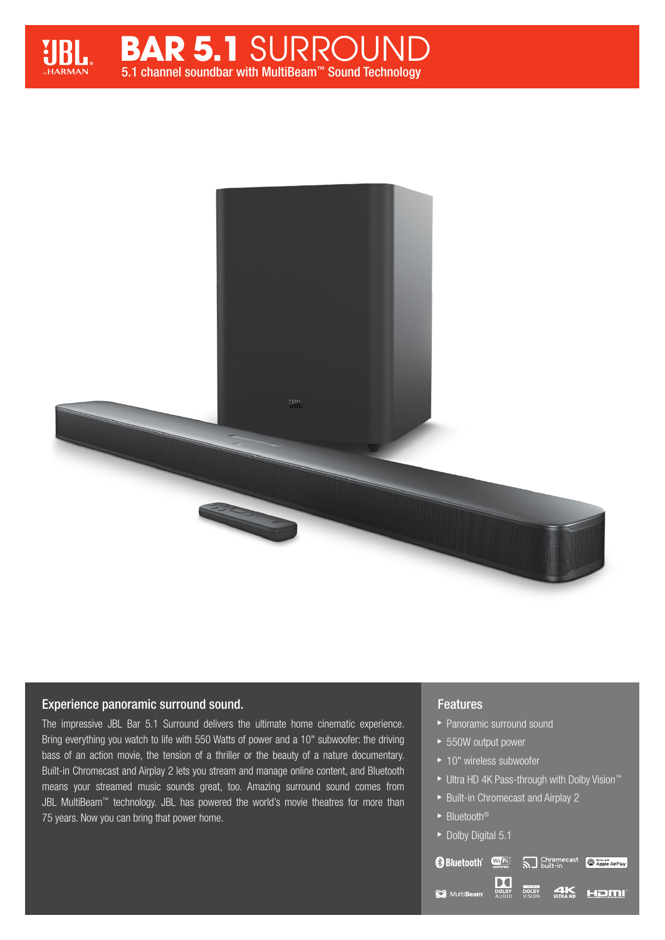





## Experience panoramic surround sound.

The impressive JBL Bar 5.1 Surround delivers the ultimate home cinematic experience. Bring everything you watch to life with 550 Watts of power and a 10" subwoofer: the driving bass of an action movie, the tension of a thriller or the beauty of a nature documentary. Built-in Chromecast and Airplay 2 lets you stream and manage online content, and Bluetooth means your streamed music sounds great, too. Amazing surround sound comes from JBL MultiBeam™ technology. JBL has powered the world's movie theatres for more than 75 years. Now you can bring that power home.

## Features

- ▶ Panoramic surround sound
- ▶ 550W output power
- ▶ 10" wireless subwoofer
- ► Ultra HD 4K Pass-through with Dolby Vision™

**DOLBY** 

S Chromecast

**Q** Apple AirPlay

HOMI

 $\blacktriangleright$  Built-in Chromecast and Airplay 2

DO

**DOLBY**<br>AUDIO

► Bluetooth<sup>®</sup>

MultiBeam

▶ Dolby Digital 5.1

**B** Bluetooth WFI